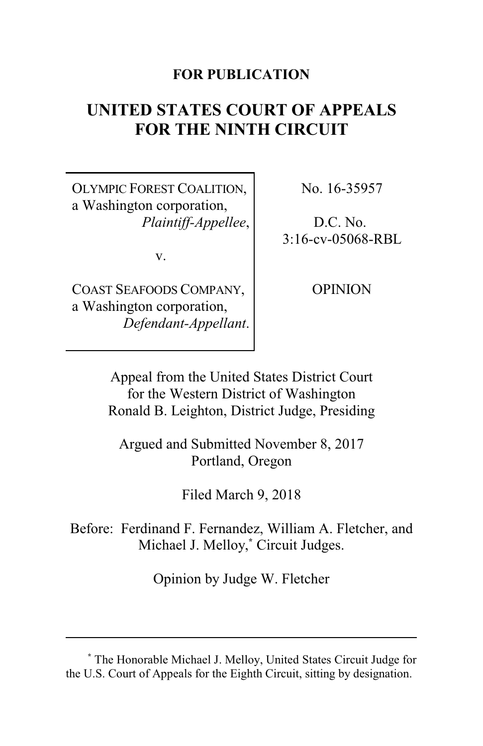#### **FOR PUBLICATION**

# **UNITED STATES COURT OF APPEALS FOR THE NINTH CIRCUIT**

OLYMPIC FOREST COALITION, a Washington corporation, *Plaintiff-Appellee*,

v.

COAST SEAFOODS COMPANY, a Washington corporation, *Defendant-Appellant*. No. 16-35957

D.C. No. 3:16-cv-05068-RBL

**OPINION** 

Appeal from the United States District Court for the Western District of Washington Ronald B. Leighton, District Judge, Presiding

Argued and Submitted November 8, 2017 Portland, Oregon

Filed March 9, 2018

Before: Ferdinand F. Fernandez, William A. Fletcher, and Michael J. Melloy, **\*** Circuit Judges.

Opinion by Judge W. Fletcher

**<sup>\*</sup>** The Honorable Michael J. Melloy, United States Circuit Judge for the U.S. Court of Appeals for the Eighth Circuit, sitting by designation.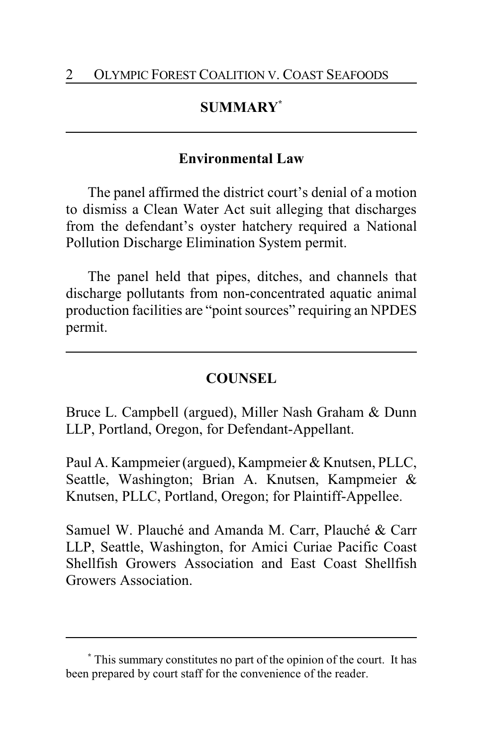## **SUMMARY\***

### **Environmental Law**

The panel affirmed the district court's denial of a motion to dismiss a Clean Water Act suit alleging that discharges from the defendant's oyster hatchery required a National Pollution Discharge Elimination System permit.

The panel held that pipes, ditches, and channels that discharge pollutants from non-concentrated aquatic animal production facilities are "point sources" requiring an NPDES permit.

## **COUNSEL**

Bruce L. Campbell (argued), Miller Nash Graham & Dunn LLP, Portland, Oregon, for Defendant-Appellant.

Paul A. Kampmeier (argued), Kampmeier & Knutsen, PLLC, Seattle, Washington; Brian A. Knutsen, Kampmeier & Knutsen, PLLC, Portland, Oregon; for Plaintiff-Appellee.

Samuel W. Plauché and Amanda M. Carr, Plauché & Carr LLP, Seattle, Washington, for Amici Curiae Pacific Coast Shellfish Growers Association and East Coast Shellfish Growers Association.

**<sup>\*</sup>** This summary constitutes no part of the opinion of the court. It has been prepared by court staff for the convenience of the reader.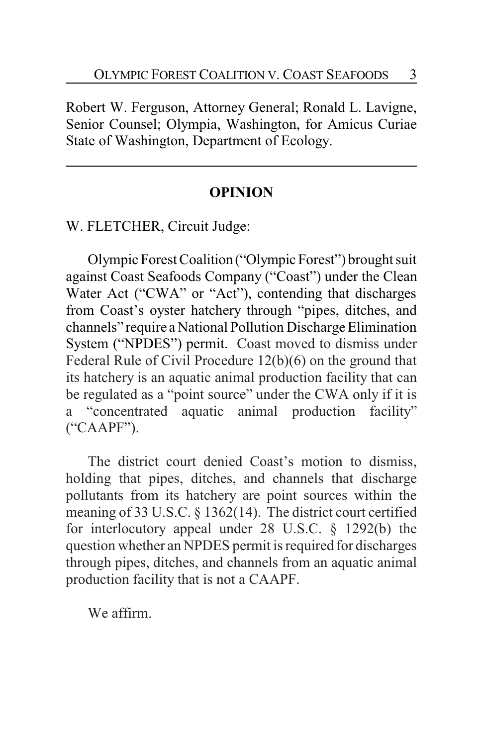Robert W. Ferguson, Attorney General; Ronald L. Lavigne, Senior Counsel; Olympia, Washington, for Amicus Curiae State of Washington, Department of Ecology.

#### **OPINION**

W. FLETCHER, Circuit Judge:

Olympic Forest Coalition ("Olympic Forest") brought suit against Coast Seafoods Company ("Coast") under the Clean Water Act ("CWA" or "Act"), contending that discharges from Coast's oyster hatchery through "pipes, ditches, and channels" require a National Pollution Discharge Elimination System ("NPDES") permit. Coast moved to dismiss under Federal Rule of Civil Procedure 12(b)(6) on the ground that its hatchery is an aquatic animal production facility that can be regulated as a "point source" under the CWA only if it is a "concentrated aquatic animal production facility" ("CAAPF").

The district court denied Coast's motion to dismiss, holding that pipes, ditches, and channels that discharge pollutants from its hatchery are point sources within the meaning of 33 U.S.C. § 1362(14). The district court certified for interlocutory appeal under 28 U.S.C. § 1292(b) the question whether an NPDES permit is required for discharges through pipes, ditches, and channels from an aquatic animal production facility that is not a CAAPF.

We affirm.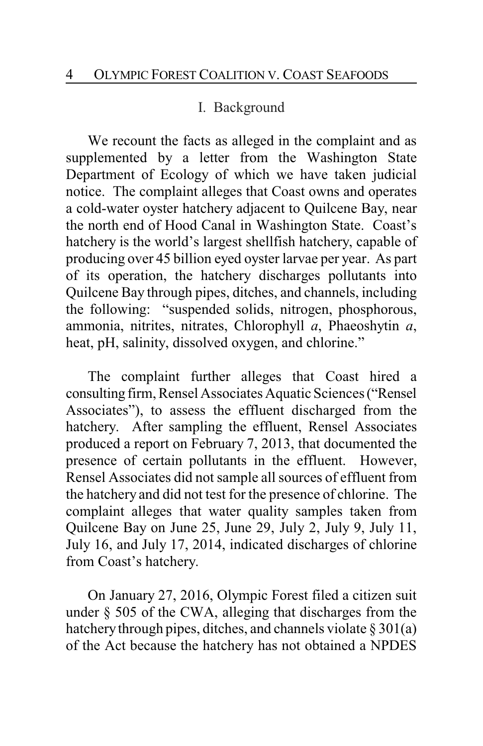#### I. Background

We recount the facts as alleged in the complaint and as supplemented by a letter from the Washington State Department of Ecology of which we have taken judicial notice. The complaint alleges that Coast owns and operates a cold-water oyster hatchery adjacent to Quilcene Bay, near the north end of Hood Canal in Washington State. Coast's hatchery is the world's largest shellfish hatchery, capable of producing over 45 billion eyed oyster larvae per year. As part of its operation, the hatchery discharges pollutants into Quilcene Bay through pipes, ditches, and channels, including the following: "suspended solids, nitrogen, phosphorous, ammonia, nitrites, nitrates, Chlorophyll *a*, Phaeoshytin *a*, heat, pH, salinity, dissolved oxygen, and chlorine."

The complaint further alleges that Coast hired a consulting firm, Rensel Associates Aquatic Sciences ("Rensel Associates"), to assess the effluent discharged from the hatchery. After sampling the effluent, Rensel Associates produced a report on February 7, 2013, that documented the presence of certain pollutants in the effluent. However, Rensel Associates did not sample all sources of effluent from the hatchery and did not test for the presence of chlorine. The complaint alleges that water quality samples taken from Quilcene Bay on June 25, June 29, July 2, July 9, July 11, July 16, and July 17, 2014, indicated discharges of chlorine from Coast's hatchery.

On January 27, 2016, Olympic Forest filed a citizen suit under § 505 of the CWA, alleging that discharges from the hatchery through pipes, ditches, and channels violate  $\S 301(a)$ of the Act because the hatchery has not obtained a NPDES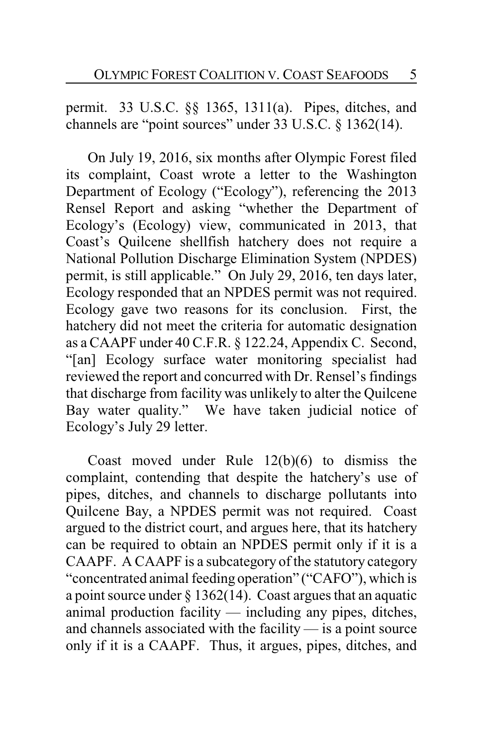permit. 33 U.S.C. §§ 1365, 1311(a). Pipes, ditches, and channels are "point sources" under 33 U.S.C. § 1362(14).

On July 19, 2016, six months after Olympic Forest filed its complaint, Coast wrote a letter to the Washington Department of Ecology ("Ecology"), referencing the 2013 Rensel Report and asking "whether the Department of Ecology's (Ecology) view, communicated in 2013, that Coast's Quilcene shellfish hatchery does not require a National Pollution Discharge Elimination System (NPDES) permit, is still applicable." On July 29, 2016, ten days later, Ecology responded that an NPDES permit was not required. Ecology gave two reasons for its conclusion. First, the hatchery did not meet the criteria for automatic designation as a CAAPF under 40 C.F.R. § 122.24, Appendix C. Second, "[an] Ecology surface water monitoring specialist had reviewed the report and concurred with Dr. Rensel's findings that discharge from facility was unlikely to alter the Quilcene Bay water quality." We have taken judicial notice of Ecology's July 29 letter.

Coast moved under Rule 12(b)(6) to dismiss the complaint, contending that despite the hatchery's use of pipes, ditches, and channels to discharge pollutants into Quilcene Bay, a NPDES permit was not required. Coast argued to the district court, and argues here, that its hatchery can be required to obtain an NPDES permit only if it is a CAAPF. A CAAPF is a subcategory of the statutory category "concentrated animal feeding operation" ("CAFO"), which is a point source under  $\S 1362(14)$ . Coast argues that an aquatic animal production facility — including any pipes, ditches, and channels associated with the facility — is a point source only if it is a CAAPF. Thus, it argues, pipes, ditches, and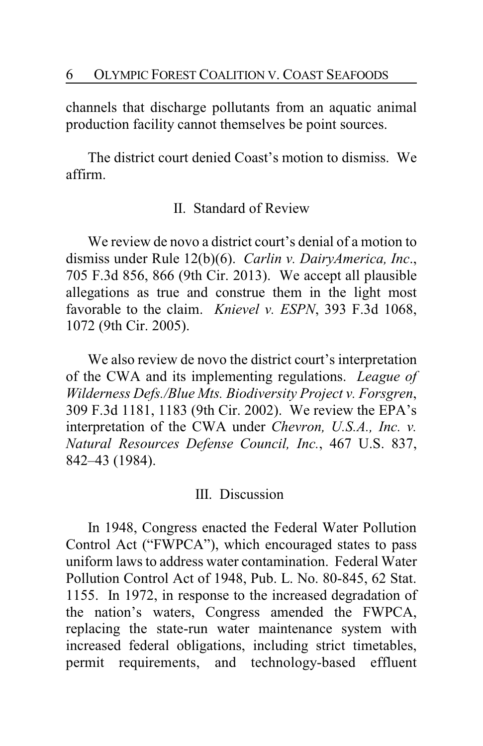channels that discharge pollutants from an aquatic animal production facility cannot themselves be point sources.

The district court denied Coast's motion to dismiss. We affirm.

## II. Standard of Review

We review de novo a district court's denial of a motion to dismiss under Rule 12(b)(6). *Carlin v. DairyAmerica, Inc*., 705 F.3d 856, 866 (9th Cir. 2013). We accept all plausible allegations as true and construe them in the light most favorable to the claim. *Knievel v. ESPN*, 393 F.3d 1068, 1072 (9th Cir. 2005).

We also review de novo the district court's interpretation of the CWA and its implementing regulations. *League of Wilderness Defs./Blue Mts. Biodiversity Project v. Forsgren*, 309 F.3d 1181, 1183 (9th Cir. 2002). We review the EPA's interpretation of the CWA under *Chevron, U.S.A., Inc. v. Natural Resources Defense Council, Inc.*, 467 U.S. 837, 842–43 (1984).

#### III. Discussion

In 1948, Congress enacted the Federal Water Pollution Control Act ("FWPCA"), which encouraged states to pass uniform laws to address water contamination. Federal Water Pollution Control Act of 1948, Pub. L. No. 80-845, 62 Stat. 1155. In 1972, in response to the increased degradation of the nation's waters, Congress amended the FWPCA, replacing the state-run water maintenance system with increased federal obligations, including strict timetables, permit requirements, and technology-based effluent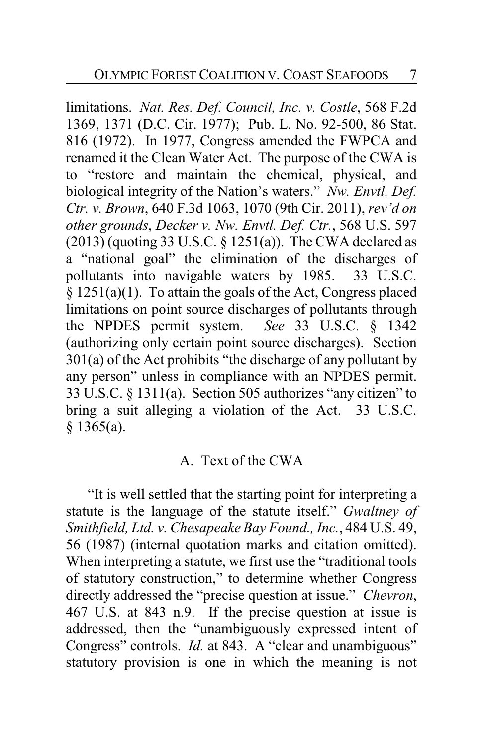limitations. *Nat. Res. Def. Council, Inc. v. Costle*, 568 F.2d 1369, 1371 (D.C. Cir. 1977); Pub. L. No. 92-500, 86 Stat. 816 (1972). In 1977, Congress amended the FWPCA and renamed it the Clean Water Act. The purpose of the CWA is to "restore and maintain the chemical, physical, and biological integrity of the Nation's waters." *Nw. Envtl. Def. Ctr. v. Brown*, 640 F.3d 1063, 1070 (9th Cir. 2011), *rev'd on other grounds*, *Decker v. Nw. Envtl. Def. Ctr.*, 568 U.S. 597  $(2013)$  (quoting 33 U.S.C. § 1251(a)). The CWA declared as a "national goal" the elimination of the discharges of pollutants into navigable waters by 1985. 33 U.S.C. § 1251(a)(1). To attain the goals of the Act, Congress placed limitations on point source discharges of pollutants through the NPDES permit system. *See* 33 U.S.C. § 1342 (authorizing only certain point source discharges). Section 301(a) of the Act prohibits "the discharge of any pollutant by any person" unless in compliance with an NPDES permit. 33 U.S.C. § 1311(a). Section 505 authorizes "any citizen" to bring a suit alleging a violation of the Act. 33 U.S.C. § 1365(a).

#### A. Text of the CWA

"It is well settled that the starting point for interpreting a statute is the language of the statute itself." *Gwaltney of Smithfield, Ltd. v. Chesapeake Bay Found., Inc.*, 484 U.S. 49, 56 (1987) (internal quotation marks and citation omitted). When interpreting a statute, we first use the "traditional tools of statutory construction," to determine whether Congress directly addressed the "precise question at issue." *Chevron*, 467 U.S. at 843 n.9. If the precise question at issue is addressed, then the "unambiguously expressed intent of Congress" controls. *Id.* at 843. A "clear and unambiguous" statutory provision is one in which the meaning is not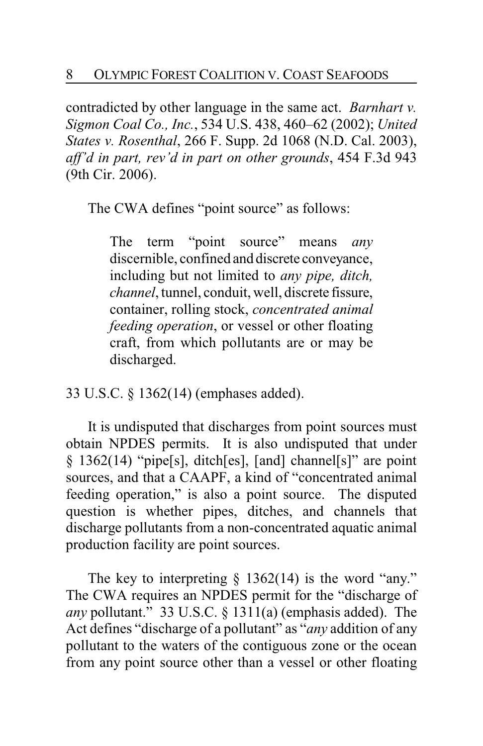contradicted by other language in the same act. *Barnhart v. Sigmon Coal Co., Inc.*, 534 U.S. 438, 460–62 (2002); *United States v. Rosenthal*, 266 F. Supp. 2d 1068 (N.D. Cal. 2003), *aff'd in part, rev'd in part on other grounds*, 454 F.3d 943 (9th Cir. 2006).

The CWA defines "point source" as follows:

The term "point source" means *any* discernible, confined and discrete conveyance, including but not limited to *any pipe, ditch, channel*, tunnel, conduit, well, discrete fissure, container, rolling stock, *concentrated animal feeding operation*, or vessel or other floating craft, from which pollutants are or may be discharged.

33 U.S.C. § 1362(14) (emphases added).

It is undisputed that discharges from point sources must obtain NPDES permits. It is also undisputed that under § 1362(14) "pipe[s], ditch[es], [and] channel[s]" are point sources, and that a CAAPF, a kind of "concentrated animal feeding operation," is also a point source. The disputed question is whether pipes, ditches, and channels that discharge pollutants from a non-concentrated aquatic animal production facility are point sources.

The key to interpreting  $\S$  1362(14) is the word "any." The CWA requires an NPDES permit for the "discharge of *any* pollutant." 33 U.S.C. § 1311(a) (emphasis added). The Act defines "discharge of a pollutant" as "*any* addition of any pollutant to the waters of the contiguous zone or the ocean from any point source other than a vessel or other floating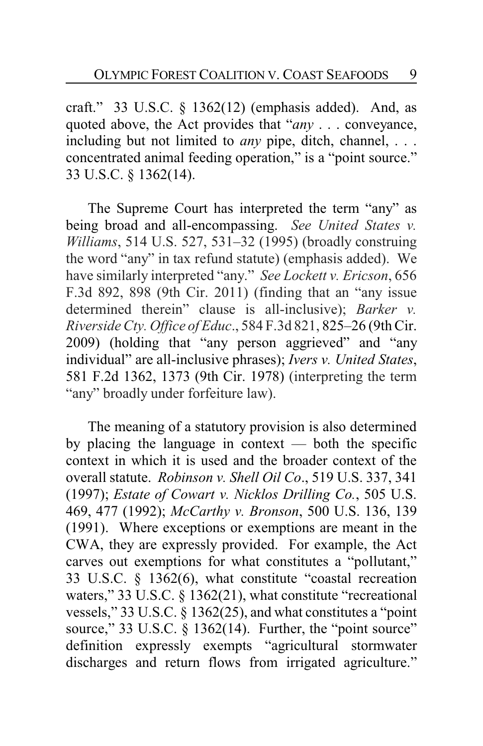craft." 33 U.S.C. § 1362(12) (emphasis added). And, as quoted above, the Act provides that "*any* . . . conveyance, including but not limited to *any* pipe, ditch, channel, . . . concentrated animal feeding operation," is a "point source." 33 U.S.C. § 1362(14).

The Supreme Court has interpreted the term "any" as being broad and all-encompassing. *See United States v. Williams*, 514 U.S. 527, 531–32 (1995) (broadly construing the word "any" in tax refund statute) (emphasis added). We have similarly interpreted "any." *See Lockett v. Ericson*, 656 F.3d 892, 898 (9th Cir. 2011) (finding that an "any issue determined therein" clause is all-inclusive); *Barker v. Riverside Cty. Office of Educ*., 584 F.3d 821, 825–26 (9th Cir. 2009) (holding that "any person aggrieved" and "any individual" are all-inclusive phrases); *Ivers v. United States*, 581 F.2d 1362, 1373 (9th Cir. 1978) (interpreting the term "any" broadly under forfeiture law).

The meaning of a statutory provision is also determined by placing the language in context — both the specific context in which it is used and the broader context of the overall statute. *Robinson v. Shell Oil Co*., 519 U.S. 337, 341 (1997); *Estate of Cowart v. Nicklos Drilling Co.*, 505 U.S. 469, 477 (1992); *McCarthy v. Bronson*, 500 U.S. 136, 139 (1991). Where exceptions or exemptions are meant in the CWA, they are expressly provided. For example, the Act carves out exemptions for what constitutes a "pollutant," 33 U.S.C. § 1362(6), what constitute "coastal recreation waters," 33 U.S.C. § 1362(21), what constitute "recreational vessels," 33 U.S.C. § 1362(25), and what constitutes a "point source," 33 U.S.C. § 1362(14). Further, the "point source" definition expressly exempts "agricultural stormwater discharges and return flows from irrigated agriculture."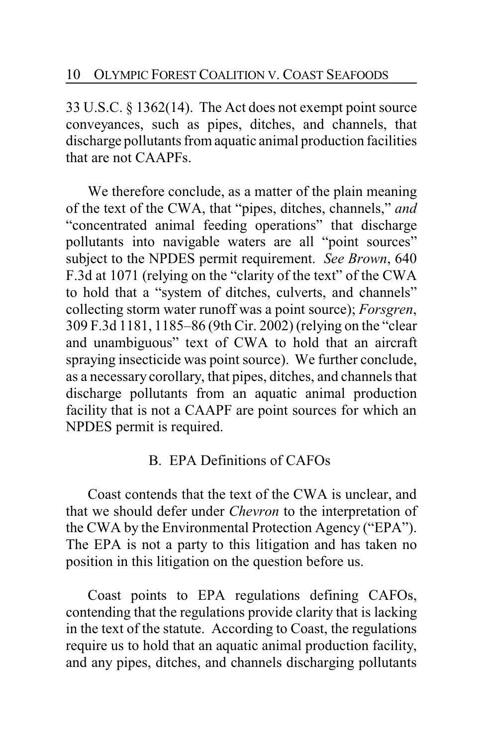33 U.S.C. § 1362(14). The Act does not exempt point source conveyances, such as pipes, ditches, and channels, that discharge pollutants from aquatic animal production facilities that are not CAAPFs.

We therefore conclude, as a matter of the plain meaning of the text of the CWA, that "pipes, ditches, channels," *and* "concentrated animal feeding operations" that discharge pollutants into navigable waters are all "point sources" subject to the NPDES permit requirement. *See Brown*, 640 F.3d at 1071 (relying on the "clarity of the text" of the CWA to hold that a "system of ditches, culverts, and channels" collecting storm water runoff was a point source); *Forsgren*, 309 F.3d 1181, 1185–86 (9th Cir. 2002) (relying on the "clear and unambiguous" text of CWA to hold that an aircraft spraying insecticide was point source). We further conclude, as a necessary corollary, that pipes, ditches, and channels that discharge pollutants from an aquatic animal production facility that is not a CAAPF are point sources for which an NPDES permit is required.

## B. EPA Definitions of CAFOs

Coast contends that the text of the CWA is unclear, and that we should defer under *Chevron* to the interpretation of the CWA by the Environmental Protection Agency ("EPA"). The EPA is not a party to this litigation and has taken no position in this litigation on the question before us.

Coast points to EPA regulations defining CAFOs, contending that the regulations provide clarity that is lacking in the text of the statute. According to Coast, the regulations require us to hold that an aquatic animal production facility, and any pipes, ditches, and channels discharging pollutants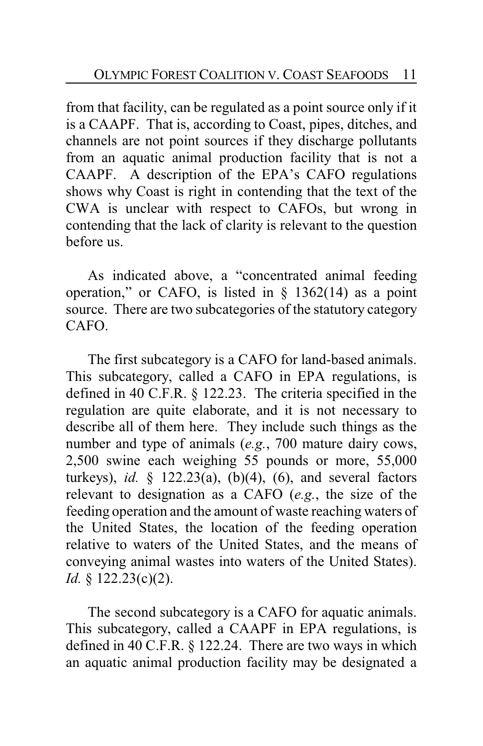from that facility, can be regulated as a point source only if it is a CAAPF. That is, according to Coast, pipes, ditches, and channels are not point sources if they discharge pollutants from an aquatic animal production facility that is not a CAAPF. A description of the EPA's CAFO regulations shows why Coast is right in contending that the text of the CWA is unclear with respect to CAFOs, but wrong in contending that the lack of clarity is relevant to the question before us.

As indicated above, a "concentrated animal feeding operation," or CAFO, is listed in  $\S$  1362(14) as a point source. There are two subcategories of the statutory category CAFO.

The first subcategory is a CAFO for land-based animals. This subcategory, called a CAFO in EPA regulations, is defined in 40 C.F.R. § 122.23. The criteria specified in the regulation are quite elaborate, and it is not necessary to describe all of them here. They include such things as the number and type of animals (*e.g.*, 700 mature dairy cows, 2,500 swine each weighing 55 pounds or more, 55,000 turkeys), *id.* § 122.23(a), (b)(4), (6), and several factors relevant to designation as a CAFO (*e.g.*, the size of the feeding operation and the amount of waste reaching waters of the United States, the location of the feeding operation relative to waters of the United States, and the means of conveying animal wastes into waters of the United States). *Id.* § 122.23(c)(2).

The second subcategory is a CAFO for aquatic animals. This subcategory, called a CAAPF in EPA regulations, is defined in 40 C.F.R. § 122.24. There are two ways in which an aquatic animal production facility may be designated a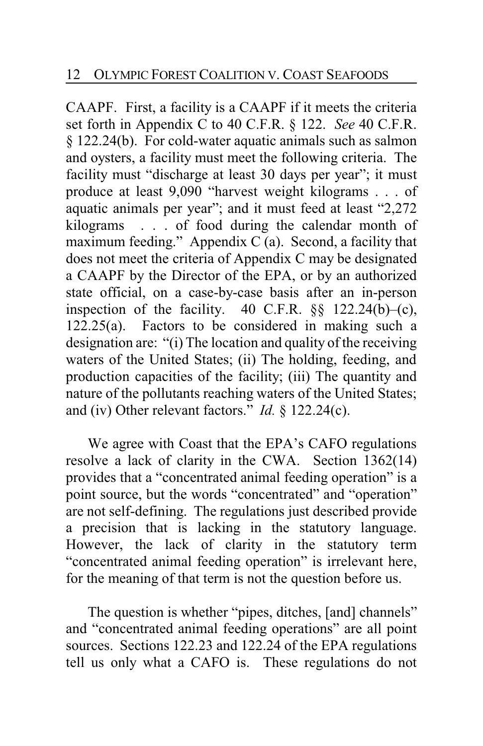CAAPF. First, a facility is a CAAPF if it meets the criteria set forth in Appendix C to 40 C.F.R. § 122. *See* 40 C.F.R. § 122.24(b). For cold-water aquatic animals such as salmon and oysters, a facility must meet the following criteria. The facility must "discharge at least 30 days per year"; it must produce at least 9,090 "harvest weight kilograms . . . of aquatic animals per year"; and it must feed at least "2,272 kilograms . . . of food during the calendar month of maximum feeding." Appendix C (a). Second, a facility that does not meet the criteria of Appendix C may be designated a CAAPF by the Director of the EPA, or by an authorized state official, on a case-by-case basis after an in-person inspection of the facility.  $40$  C.F.R.  $\S$ § 122.24(b)–(c), 122.25(a). Factors to be considered in making such a designation are: "(i) The location and quality of the receiving waters of the United States; (ii) The holding, feeding, and production capacities of the facility; (iii) The quantity and nature of the pollutants reaching waters of the United States; and (iv) Other relevant factors." *Id.* § 122.24(c).

We agree with Coast that the EPA's CAFO regulations resolve a lack of clarity in the CWA. Section 1362(14) provides that a "concentrated animal feeding operation" is a point source, but the words "concentrated" and "operation" are not self-defining. The regulations just described provide a precision that is lacking in the statutory language. However, the lack of clarity in the statutory term "concentrated animal feeding operation" is irrelevant here, for the meaning of that term is not the question before us.

The question is whether "pipes, ditches, [and] channels" and "concentrated animal feeding operations" are all point sources. Sections 122.23 and 122.24 of the EPA regulations tell us only what a CAFO is. These regulations do not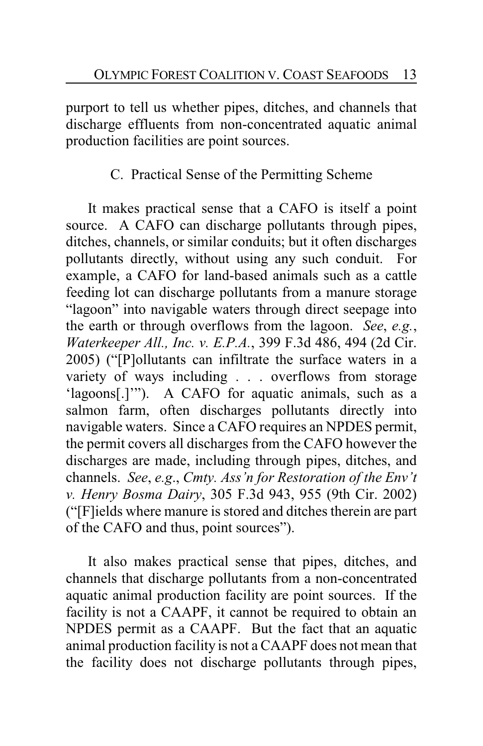purport to tell us whether pipes, ditches, and channels that discharge effluents from non-concentrated aquatic animal production facilities are point sources.

## C. Practical Sense of the Permitting Scheme

It makes practical sense that a CAFO is itself a point source. A CAFO can discharge pollutants through pipes, ditches, channels, or similar conduits; but it often discharges pollutants directly, without using any such conduit. For example, a CAFO for land-based animals such as a cattle feeding lot can discharge pollutants from a manure storage "lagoon" into navigable waters through direct seepage into the earth or through overflows from the lagoon. *See*, *e.g.*, *Waterkeeper All., Inc. v. E.P.A.*, 399 F.3d 486, 494 (2d Cir. 2005) ("[P]ollutants can infiltrate the surface waters in a variety of ways including . . . overflows from storage 'lagoons[.]'"). A CAFO for aquatic animals, such as a salmon farm, often discharges pollutants directly into navigable waters. Since a CAFO requires an NPDES permit, the permit covers all discharges from the CAFO however the discharges are made, including through pipes, ditches, and channels. *See*, *e.g*., *Cmty. Ass'n for Restoration of the Env't v. Henry Bosma Dairy*, 305 F.3d 943, 955 (9th Cir. 2002) ("[F]ields where manure is stored and ditches therein are part of the CAFO and thus, point sources").

It also makes practical sense that pipes, ditches, and channels that discharge pollutants from a non-concentrated aquatic animal production facility are point sources. If the facility is not a CAAPF, it cannot be required to obtain an NPDES permit as a CAAPF. But the fact that an aquatic animal production facility is not a CAAPF does not mean that the facility does not discharge pollutants through pipes,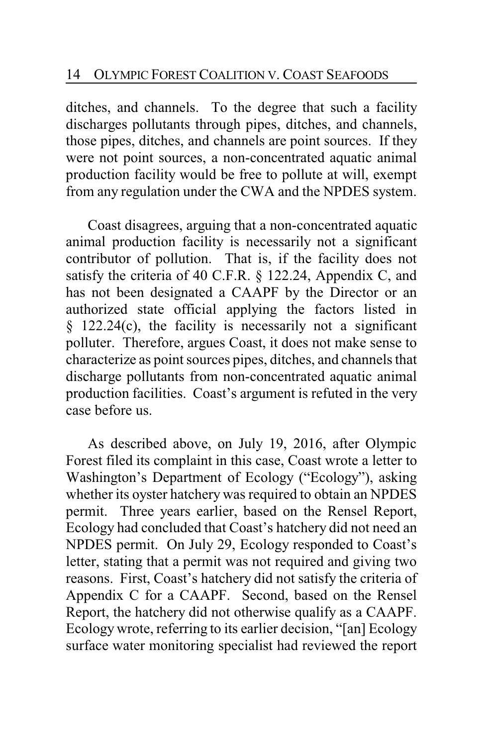ditches, and channels. To the degree that such a facility discharges pollutants through pipes, ditches, and channels, those pipes, ditches, and channels are point sources. If they were not point sources, a non-concentrated aquatic animal production facility would be free to pollute at will, exempt from any regulation under the CWA and the NPDES system.

Coast disagrees, arguing that a non-concentrated aquatic animal production facility is necessarily not a significant contributor of pollution. That is, if the facility does not satisfy the criteria of 40 C.F.R. § 122.24, Appendix C, and has not been designated a CAAPF by the Director or an authorized state official applying the factors listed in  $§$  122.24(c), the facility is necessarily not a significant polluter. Therefore, argues Coast, it does not make sense to characterize as point sources pipes, ditches, and channels that discharge pollutants from non-concentrated aquatic animal production facilities. Coast's argument is refuted in the very case before us.

As described above, on July 19, 2016, after Olympic Forest filed its complaint in this case, Coast wrote a letter to Washington's Department of Ecology ("Ecology"), asking whether its oyster hatchery was required to obtain an NPDES permit. Three years earlier, based on the Rensel Report, Ecology had concluded that Coast's hatchery did not need an NPDES permit. On July 29, Ecology responded to Coast's letter, stating that a permit was not required and giving two reasons. First, Coast's hatchery did not satisfy the criteria of Appendix C for a CAAPF. Second, based on the Rensel Report, the hatchery did not otherwise qualify as a CAAPF. Ecology wrote, referring to its earlier decision, "[an] Ecology surface water monitoring specialist had reviewed the report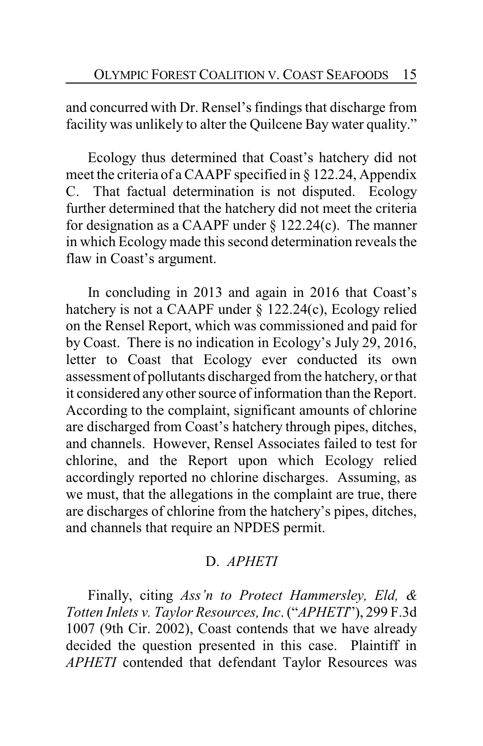and concurred with Dr. Rensel's findings that discharge from facility was unlikely to alter the Quilcene Bay water quality."

Ecology thus determined that Coast's hatchery did not meet the criteria of a CAAPF specified in § 122.24, Appendix C. That factual determination is not disputed. Ecology further determined that the hatchery did not meet the criteria for designation as a CAAPF under  $\S$  122.24(c). The manner in which Ecology made this second determination reveals the flaw in Coast's argument.

In concluding in 2013 and again in 2016 that Coast's hatchery is not a CAAPF under § 122.24(c), Ecology relied on the Rensel Report, which was commissioned and paid for by Coast. There is no indication in Ecology's July 29, 2016, letter to Coast that Ecology ever conducted its own assessment of pollutants discharged from the hatchery, or that it considered any other source of information than the Report. According to the complaint, significant amounts of chlorine are discharged from Coast's hatchery through pipes, ditches, and channels. However, Rensel Associates failed to test for chlorine, and the Report upon which Ecology relied accordingly reported no chlorine discharges. Assuming, as we must, that the allegations in the complaint are true, there are discharges of chlorine from the hatchery's pipes, ditches, and channels that require an NPDES permit.

## D. *APHETI*

Finally, citing *Ass'n to Protect Hammersley, Eld, & Totten Inlets v. Taylor Resources, Inc*. ("*APHETI*"), 299 F.3d 1007 (9th Cir. 2002), Coast contends that we have already decided the question presented in this case. Plaintiff in *APHETI* contended that defendant Taylor Resources was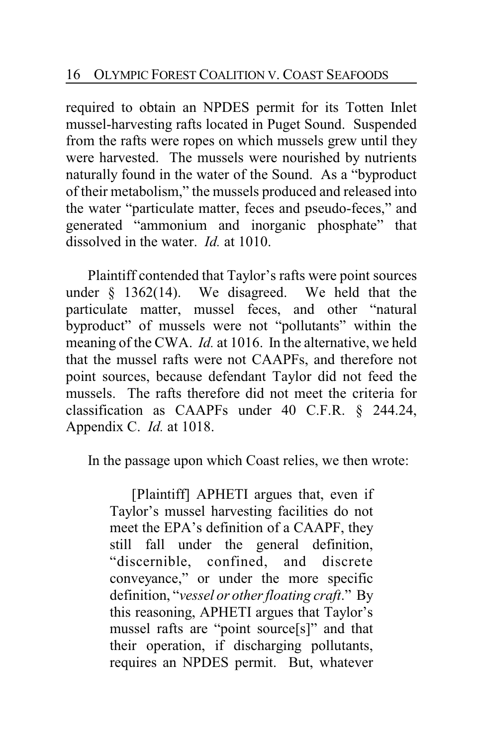required to obtain an NPDES permit for its Totten Inlet mussel-harvesting rafts located in Puget Sound. Suspended from the rafts were ropes on which mussels grew until they were harvested. The mussels were nourished by nutrients naturally found in the water of the Sound. As a "byproduct of their metabolism," the mussels produced and released into the water "particulate matter, feces and pseudo-feces," and generated "ammonium and inorganic phosphate" that dissolved in the water. *Id.* at 1010.

Plaintiff contended that Taylor's rafts were point sources<br>er \$ 1362(14). We disagreed. We held that the under  $\S$  1362(14). We disagreed. particulate matter, mussel feces, and other "natural byproduct" of mussels were not "pollutants" within the meaning of the CWA. *Id.* at 1016. In the alternative, we held that the mussel rafts were not CAAPFs, and therefore not point sources, because defendant Taylor did not feed the mussels. The rafts therefore did not meet the criteria for classification as CAAPFs under 40 C.F.R. § 244.24, Appendix C. *Id.* at 1018.

In the passage upon which Coast relies, we then wrote:

[Plaintiff] APHETI argues that, even if Taylor's mussel harvesting facilities do not meet the EPA's definition of a CAAPF, they still fall under the general definition, "discernible, confined, and discrete conveyance," or under the more specific definition, "*vessel or other floating craft*." By this reasoning, APHETI argues that Taylor's mussel rafts are "point source[s]" and that their operation, if discharging pollutants, requires an NPDES permit. But, whatever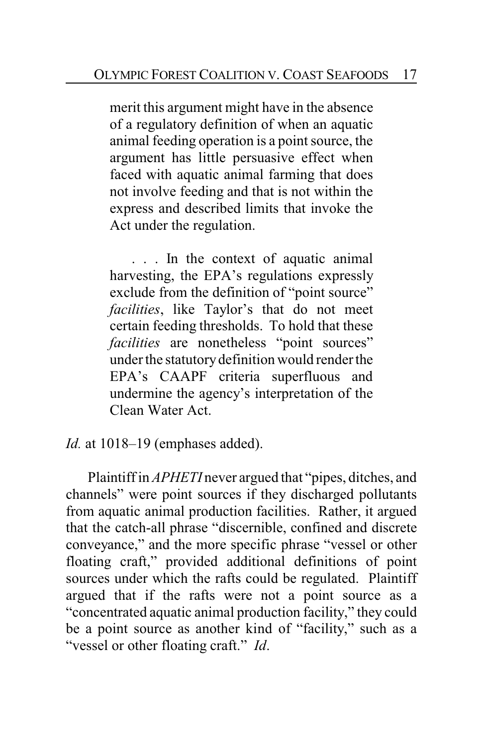merit this argument might have in the absence of a regulatory definition of when an aquatic animal feeding operation is a point source, the argument has little persuasive effect when faced with aquatic animal farming that does not involve feeding and that is not within the express and described limits that invoke the Act under the regulation.

. . . In the context of aquatic animal harvesting, the EPA's regulations expressly exclude from the definition of "point source" *facilities*, like Taylor's that do not meet certain feeding thresholds. To hold that these *facilities* are nonetheless "point sources" under the statutory definition would render the EPA's CAAPF criteria superfluous and undermine the agency's interpretation of the Clean Water Act.

*Id.* at 1018–19 (emphases added).

Plaintiff in *APHETI* never argued that "pipes, ditches, and channels" were point sources if they discharged pollutants from aquatic animal production facilities. Rather, it argued that the catch-all phrase "discernible, confined and discrete conveyance," and the more specific phrase "vessel or other floating craft," provided additional definitions of point sources under which the rafts could be regulated. Plaintiff argued that if the rafts were not a point source as a "concentrated aquatic animal production facility," they could be a point source as another kind of "facility," such as a "vessel or other floating craft." *Id*.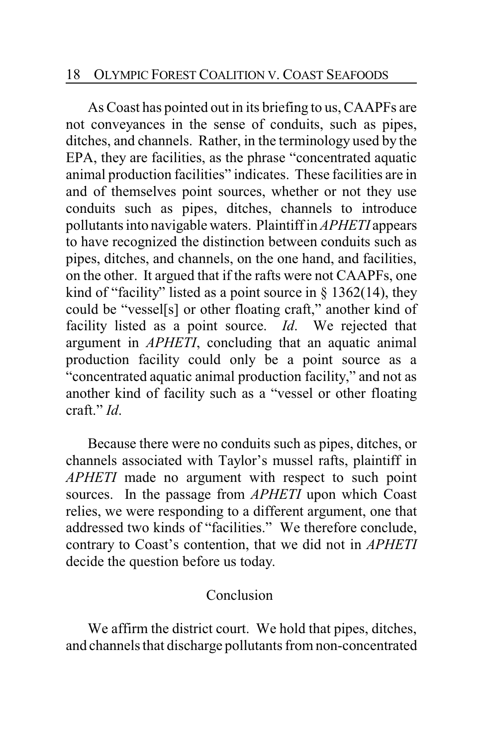#### 18 OLYMPIC FOREST COALITION V. COAST SEAFOODS

As Coast has pointed out in its briefing to us, CAAPFs are not conveyances in the sense of conduits, such as pipes, ditches, and channels. Rather, in the terminology used by the EPA, they are facilities, as the phrase "concentrated aquatic animal production facilities" indicates. These facilities are in and of themselves point sources, whether or not they use conduits such as pipes, ditches, channels to introduce pollutants into navigable waters. Plaintiff in *APHETI* appears to have recognized the distinction between conduits such as pipes, ditches, and channels, on the one hand, and facilities, on the other. It argued that if the rafts were not CAAPFs, one kind of "facility" listed as a point source in  $\S$  1362(14), they could be "vessel[s] or other floating craft," another kind of facility listed as a point source. *Id*. We rejected that argument in *APHETI*, concluding that an aquatic animal production facility could only be a point source as a "concentrated aquatic animal production facility," and not as another kind of facility such as a "vessel or other floating craft." *Id*.

Because there were no conduits such as pipes, ditches, or channels associated with Taylor's mussel rafts, plaintiff in *APHETI* made no argument with respect to such point sources. In the passage from *APHETI* upon which Coast relies, we were responding to a different argument, one that addressed two kinds of "facilities." We therefore conclude, contrary to Coast's contention, that we did not in *APHETI* decide the question before us today.

#### Conclusion

We affirm the district court. We hold that pipes, ditches, and channels that discharge pollutants from non-concentrated